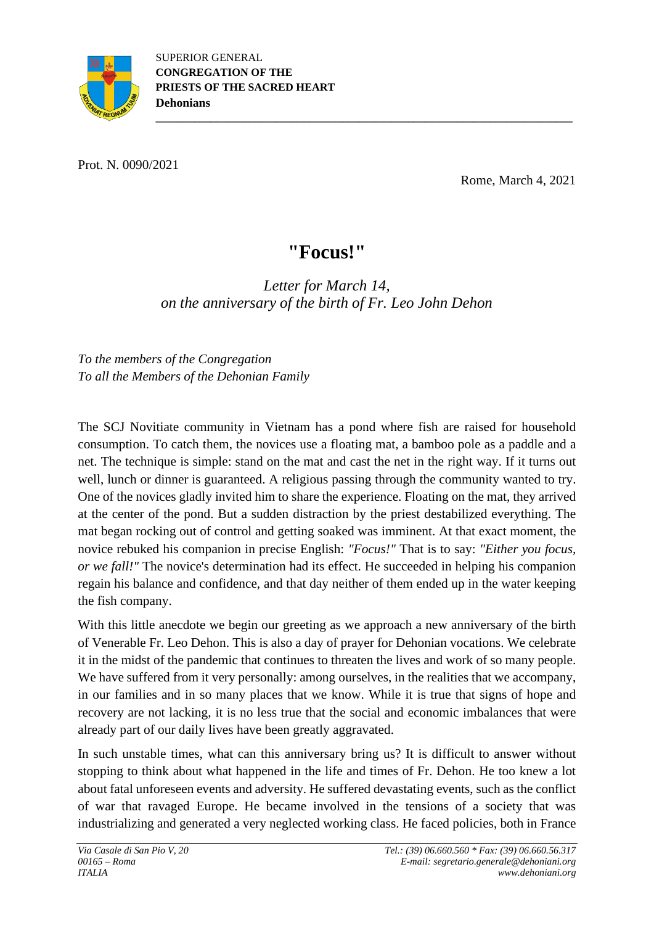

Prot. N. 0090/2021

Rome, March 4, 2021

## **"Focus!"**

**\_\_\_\_\_\_\_\_\_\_\_\_\_\_\_\_\_\_\_\_\_\_\_\_\_\_\_\_\_\_\_\_\_\_\_\_\_\_\_\_\_\_\_\_\_\_\_\_\_\_\_\_\_\_\_\_\_\_\_\_\_\_\_\_\_\_\_\_\_\_\_\_\_\_\_\_**

*Letter for March 14, on the anniversary of the birth of Fr. Leo John Dehon*

*To the members of the Congregation To all the Members of the Dehonian Family*

The SCJ Novitiate community in Vietnam has a pond where fish are raised for household consumption. To catch them, the novices use a floating mat, a bamboo pole as a paddle and a net. The technique is simple: stand on the mat and cast the net in the right way. If it turns out well, lunch or dinner is guaranteed. A religious passing through the community wanted to try. One of the novices gladly invited him to share the experience. Floating on the mat, they arrived at the center of the pond. But a sudden distraction by the priest destabilized everything. The mat began rocking out of control and getting soaked was imminent. At that exact moment, the novice rebuked his companion in precise English: *"Focus!"* That is to say: *"Either you focus, or we fall!"* The novice's determination had its effect. He succeeded in helping his companion regain his balance and confidence, and that day neither of them ended up in the water keeping the fish company.

With this little anecdote we begin our greeting as we approach a new anniversary of the birth of Venerable Fr. Leo Dehon. This is also a day of prayer for Dehonian vocations. We celebrate it in the midst of the pandemic that continues to threaten the lives and work of so many people. We have suffered from it very personally: among ourselves, in the realities that we accompany, in our families and in so many places that we know. While it is true that signs of hope and recovery are not lacking, it is no less true that the social and economic imbalances that were already part of our daily lives have been greatly aggravated.

In such unstable times, what can this anniversary bring us? It is difficult to answer without stopping to think about what happened in the life and times of Fr. Dehon. He too knew a lot about fatal unforeseen events and adversity. He suffered devastating events, such as the conflict of war that ravaged Europe. He became involved in the tensions of a society that was industrializing and generated a very neglected working class. He faced policies, both in France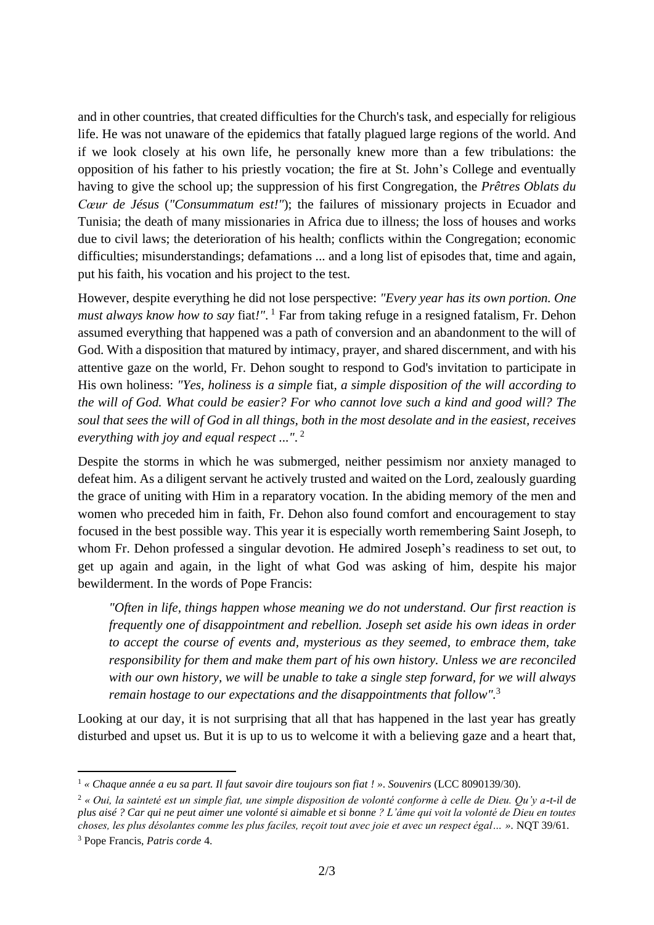and in other countries, that created difficulties for the Church's task, and especially for religious life. He was not unaware of the epidemics that fatally plagued large regions of the world. And if we look closely at his own life, he personally knew more than a few tribulations: the opposition of his father to his priestly vocation; the fire at St. John's College and eventually having to give the school up; the suppression of his first Congregation, the *Prêtres Oblats du Cœur de Jésus* (*"Consummatum est!"*); the failures of missionary projects in Ecuador and Tunisia; the death of many missionaries in Africa due to illness; the loss of houses and works due to civil laws; the deterioration of his health; conflicts within the Congregation; economic difficulties; misunderstandings; defamations ... and a long list of episodes that, time and again, put his faith, his vocation and his project to the test.

However, despite everything he did not lose perspective: *"Every year has its own portion. One must always know how to say* fiat*!"*. <sup>1</sup> Far from taking refuge in a resigned fatalism, Fr. Dehon assumed everything that happened was a path of conversion and an abandonment to the will of God. With a disposition that matured by intimacy, prayer, and shared discernment, and with his attentive gaze on the world, Fr. Dehon sought to respond to God's invitation to participate in His own holiness: *"Yes, holiness is a simple* fiat*, a simple disposition of the will according to the will of God. What could be easier? For who cannot love such a kind and good will? The* soul that sees the will of God in all things, both in the most desolate and in the easiest, receives *everything with joy and equal respect ..."*. 2

Despite the storms in which he was submerged, neither pessimism nor anxiety managed to defeat him. As a diligent servant he actively trusted and waited on the Lord, zealously guarding the grace of uniting with Him in a reparatory vocation. In the abiding memory of the men and women who preceded him in faith, Fr. Dehon also found comfort and encouragement to stay focused in the best possible way. This year it is especially worth remembering Saint Joseph, to whom Fr. Dehon professed a singular devotion. He admired Joseph's readiness to set out, to get up again and again, in the light of what God was asking of him, despite his major bewilderment. In the words of Pope Francis:

*"Often in life, things happen whose meaning we do not understand. Our first reaction is frequently one of disappointment and rebellion. Joseph set aside his own ideas in order to accept the course of events and, mysterious as they seemed, to embrace them, take responsibility for them and make them part of his own history. Unless we are reconciled with our own history, we will be unable to take a single step forward, for we will always remain hostage to our expectations and the disappointments that follow".*<sup>3</sup>

Looking at our day, it is not surprising that all that has happened in the last year has greatly disturbed and upset us. But it is up to us to welcome it with a believing gaze and a heart that,

<sup>1</sup> *« Chaque année a eu sa part. Il faut savoir dire toujours son fiat ! »*. *Souvenirs* (LCC 8090139/30).

<sup>2</sup> *« Oui, la sainteté est un simple fiat, une simple disposition de volonté conforme à celle de Dieu. Qu'y a-t-il de plus aisé ? Car qui ne peut aimer une volonté si aimable et si bonne ? L'âme qui voit la volonté de Dieu en toutes choses, les plus désolantes comme les plus faciles, reçoit tout avec joie et avec un respect égal… ».* NQT 39/61.

<sup>3</sup> Pope Francis, *Patris corde* 4.